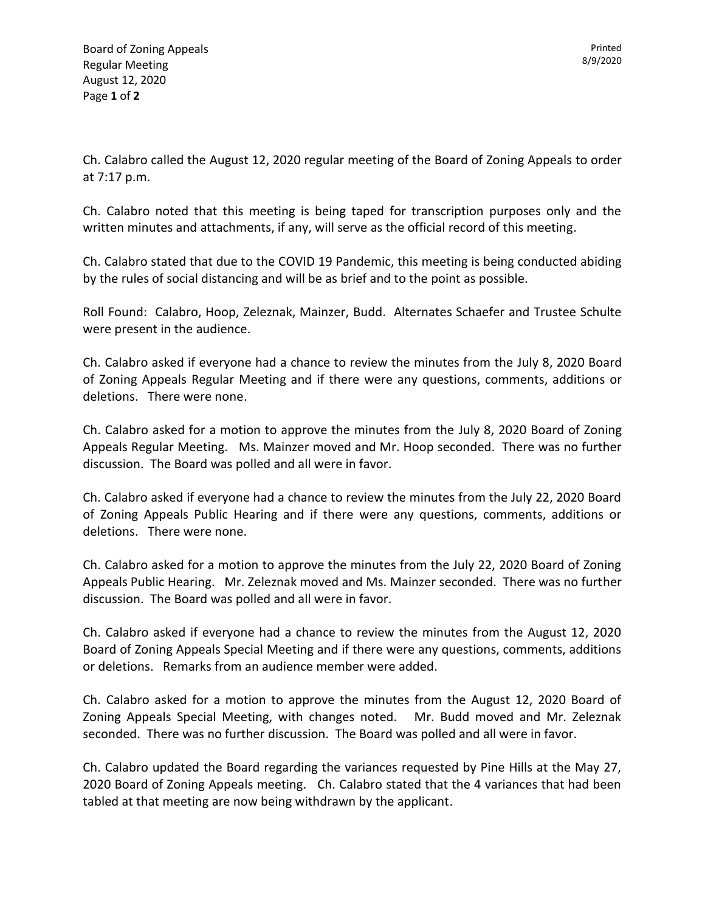Ch. Calabro called the August 12, 2020 regular meeting of the Board of Zoning Appeals to order at 7:17 p.m.

Ch. Calabro noted that this meeting is being taped for transcription purposes only and the written minutes and attachments, if any, will serve as the official record of this meeting.

Ch. Calabro stated that due to the COVID 19 Pandemic, this meeting is being conducted abiding by the rules of social distancing and will be as brief and to the point as possible.

Roll Found: Calabro, Hoop, Zeleznak, Mainzer, Budd. Alternates Schaefer and Trustee Schulte were present in the audience.

Ch. Calabro asked if everyone had a chance to review the minutes from the July 8, 2020 Board of Zoning Appeals Regular Meeting and if there were any questions, comments, additions or deletions. There were none.

Ch. Calabro asked for a motion to approve the minutes from the July 8, 2020 Board of Zoning Appeals Regular Meeting. Ms. Mainzer moved and Mr. Hoop seconded. There was no further discussion. The Board was polled and all were in favor.

Ch. Calabro asked if everyone had a chance to review the minutes from the July 22, 2020 Board of Zoning Appeals Public Hearing and if there were any questions, comments, additions or deletions. There were none.

Ch. Calabro asked for a motion to approve the minutes from the July 22, 2020 Board of Zoning Appeals Public Hearing. Mr. Zeleznak moved and Ms. Mainzer seconded. There was no further discussion. The Board was polled and all were in favor.

Ch. Calabro asked if everyone had a chance to review the minutes from the August 12, 2020 Board of Zoning Appeals Special Meeting and if there were any questions, comments, additions or deletions. Remarks from an audience member were added.

Ch. Calabro asked for a motion to approve the minutes from the August 12, 2020 Board of Zoning Appeals Special Meeting, with changes noted. Mr. Budd moved and Mr. Zeleznak seconded. There was no further discussion. The Board was polled and all were in favor.

Ch. Calabro updated the Board regarding the variances requested by Pine Hills at the May 27, 2020 Board of Zoning Appeals meeting. Ch. Calabro stated that the 4 variances that had been tabled at that meeting are now being withdrawn by the applicant.